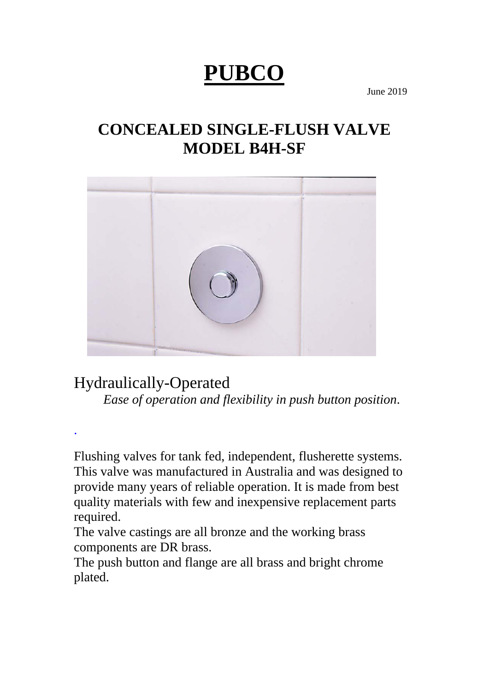# **PUBCO**

June 2019

## **CONCEALED SINGLE-FLUSH VALVE MODEL B4H-SF**



## Hydraulically-Operated

.

*Ease of operation and flexibility in push button position*.

Flushing valves for tank fed, independent, flusherette systems. This valve was manufactured in Australia and was designed to provide many years of reliable operation. It is made from best quality materials with few and inexpensive replacement parts required.

The valve castings are all bronze and the working brass components are DR brass.

The push button and flange are all brass and bright chrome plated.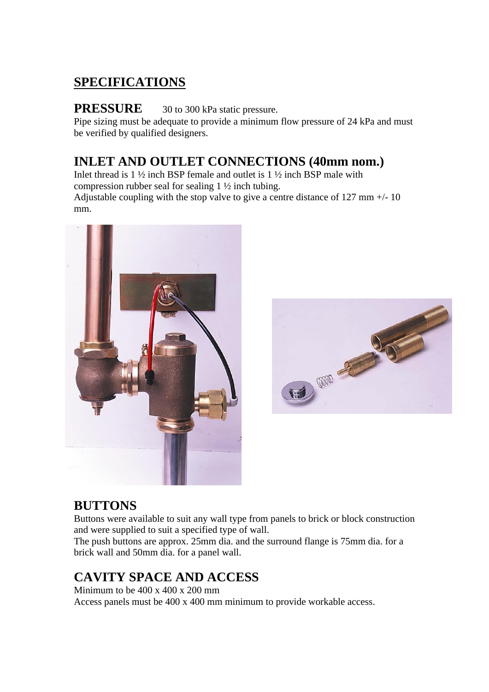## **SPECIFICATIONS**

#### **PRESSURE** 30 to 300 kPa static pressure.

Pipe sizing must be adequate to provide a minimum flow pressure of 24 kPa and must be verified by qualified designers.

### **INLET AND OUTLET CONNECTIONS (40mm nom.)**

Inlet thread is 1 ½ inch BSP female and outlet is 1 ½ inch BSP male with compression rubber seal for sealing 1 ½ inch tubing. Adjustable coupling with the stop valve to give a centre distance of 127 mm +/- 10 mm.





#### **BUTTONS**

Buttons were available to suit any wall type from panels to brick or block construction and were supplied to suit a specified type of wall.

The push buttons are approx. 25mm dia. and the surround flange is 75mm dia. for a brick wall and 50mm dia. for a panel wall.

## **CAVITY SPACE AND ACCESS**

Minimum to be  $400 \times 400 \times 200$  mm Access panels must be 400 x 400 mm minimum to provide workable access.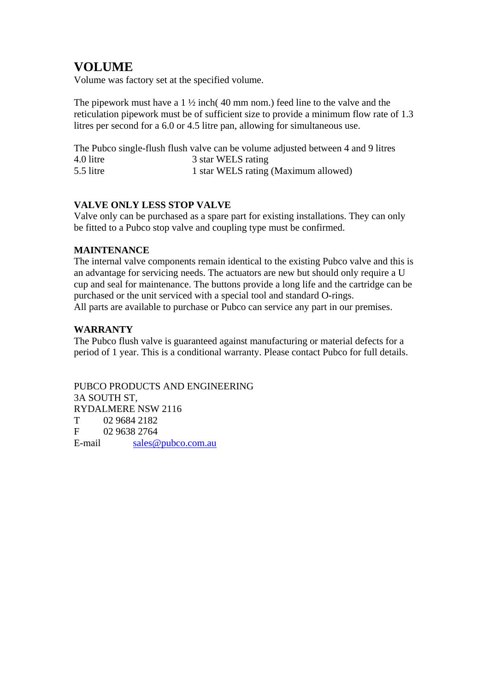## **VOLUME**

Volume was factory set at the specified volume.

The pipework must have a  $1 \frac{1}{2}$  inch(40 mm nom.) feed line to the valve and the reticulation pipework must be of sufficient size to provide a minimum flow rate of 1.3 litres per second for a 6.0 or 4.5 litre pan, allowing for simultaneous use.

The Pubco single-flush flush valve can be volume adjusted between 4 and 9 litres 4.0 litre 3 star WELS rating<br>5.5 litre 1 star WELS rating 1 star WELS rating (Maximum allowed)

#### **VALVE ONLY LESS STOP VALVE**

Valve only can be purchased as a spare part for existing installations. They can only be fitted to a Pubco stop valve and coupling type must be confirmed.

#### **MAINTENANCE**

The internal valve components remain identical to the existing Pubco valve and this is an advantage for servicing needs. The actuators are new but should only require a U cup and seal for maintenance. The buttons provide a long life and the cartridge can be purchased or the unit serviced with a special tool and standard O-rings. All parts are available to purchase or Pubco can service any part in our premises.

#### **WARRANTY**

The Pubco flush valve is guaranteed against manufacturing or material defects for a period of 1 year. This is a conditional warranty. Please contact Pubco for full details.

PUBCO PRODUCTS AND ENGINEERING 3A SOUTH ST, RYDALMERE NSW 2116 T 02 9684 2182 F 02 9638 2764 E-mail sales@pubco.com.au